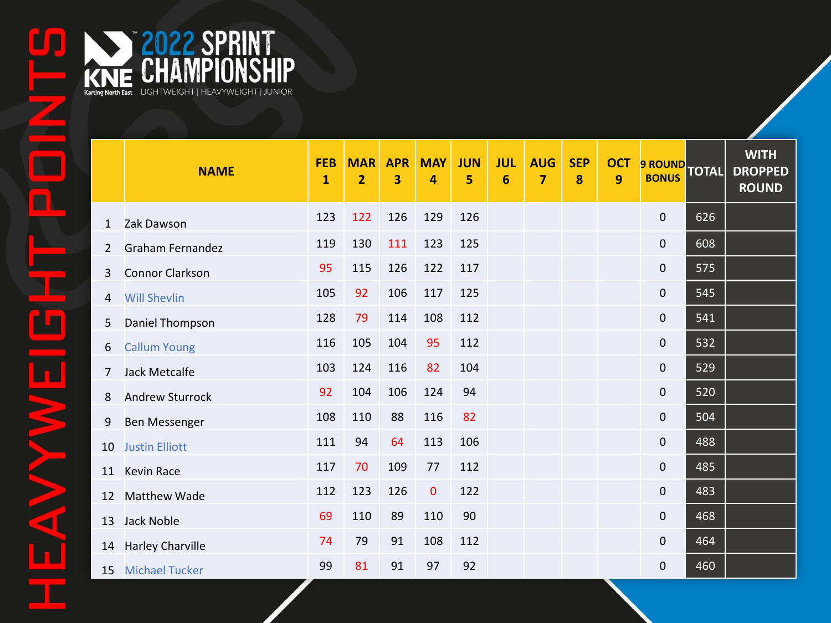|                | <b>NAME</b>             | <b>FEB</b><br>$\mathbf{1}$ | <b>MAR</b><br>2 | <b>APR</b><br>3 | <b>MAY</b><br>4 | <b>JUN</b><br>5 | <b>JUL</b><br>6 | <b>AUG</b><br>7 | <b>SEP</b><br>8 | <b>OCT</b><br>9 | 9 ROUND TOTAL       |     | <b>WITH</b><br><b>DROPPED</b><br><b>ROUND</b> |
|----------------|-------------------------|----------------------------|-----------------|-----------------|-----------------|-----------------|-----------------|-----------------|-----------------|-----------------|---------------------|-----|-----------------------------------------------|
| $\mathbf{1}$   | Zak Dawson              | 123                        | 122             | 126             | 129             | 126             |                 |                 |                 |                 | $\mathsf{O}\xspace$ | 626 |                                               |
| $\overline{2}$ | <b>Graham Fernandez</b> | 119                        | 130             | 111             | 123             | 125             |                 |                 |                 |                 | $\mathbf 0$         | 608 |                                               |
| 3              | <b>Connor Clarkson</b>  | 95                         | 115             | 126             | 122             | 117             |                 |                 |                 |                 | $\mathbf 0$         | 575 |                                               |
| 4              | <b>Will Shevlin</b>     | 105                        | 92              | 106             | 117             | 125             |                 |                 |                 |                 | $\mathbf 0$         | 545 |                                               |
| 5              | Daniel Thompson         | 128                        | 79              | 114             | 108             | 112             |                 |                 |                 |                 | $\overline{0}$      | 541 |                                               |
| 6              | <b>Callum Young</b>     | 116                        | 105             | 104             | 95              | 112             |                 |                 |                 |                 | $\mathbf 0$         | 532 |                                               |
| $\overline{7}$ | <b>Jack Metcalfe</b>    | 103                        | 124             | 116             | 82              | 104             |                 |                 |                 |                 | $\mathsf{O}\xspace$ | 529 |                                               |
| 8              | <b>Andrew Sturrock</b>  | 92                         | 104             | 106             | 124             | 94              |                 |                 |                 |                 | $\mathbf 0$         | 520 |                                               |
| 9              | <b>Ben Messenger</b>    | 108                        | 110             | 88              | 116             | 82              |                 |                 |                 |                 | $\mathbf 0$         | 504 |                                               |
| 10             | <b>Justin Elliott</b>   | 111                        | 94              | 64              | 113             | 106             |                 |                 |                 |                 | $\mathbf 0$         | 488 |                                               |
| 11             | <b>Kevin Race</b>       | 117                        | 70              | 109             | 77              | 112             |                 |                 |                 |                 | $\mathbf 0$         | 485 |                                               |
| 12             | <b>Matthew Wade</b>     | 112                        | 123             | 126             | $\mathbf 0$     | 122             |                 |                 |                 |                 | $\mathbf 0$         | 483 |                                               |
| 13             | Jack Noble              | 69                         | 110             | 89              | 110             | 90              |                 |                 |                 |                 | $\mathbf 0$         | 468 |                                               |
| 14             | Harley Charville        | 74                         | 79              | 91              | 108             | 112             |                 |                 |                 |                 | $\overline{0}$      | 464 |                                               |
| 15             | <b>Michael Tucker</b>   | 99                         | 81              | 91              | 97              | 92              |                 |                 |                 |                 | $\mathbf 0$         | 460 |                                               |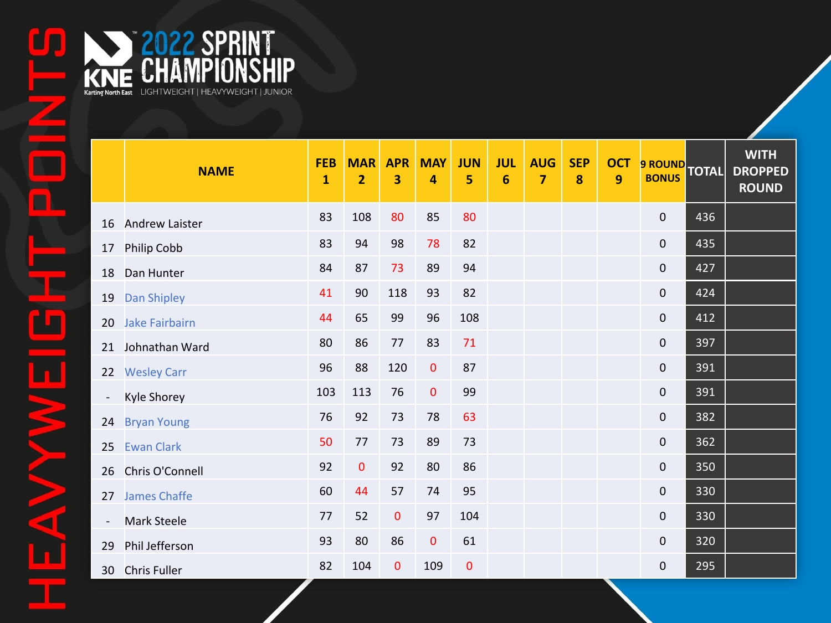|                          | <b>NAME</b>           | <b>FEB</b><br>$\mathbf{1}$ | <b>MAR</b><br>$\overline{2}$ | <b>APR</b><br>3 | <b>MAY</b><br>4 | <b>JUN</b><br>5 | <b>JUL</b><br>6 | <b>AUG</b><br>$\overline{7}$ | <b>SEP</b><br>8 | <b>OCT</b><br>9 | 9 ROUND TOTAL       |     | <b>WITH</b><br><b>DROPPED</b><br><b>ROUND</b> |
|--------------------------|-----------------------|----------------------------|------------------------------|-----------------|-----------------|-----------------|-----------------|------------------------------|-----------------|-----------------|---------------------|-----|-----------------------------------------------|
| 16                       | <b>Andrew Laister</b> | 83                         | 108                          | 80              | 85              | 80              |                 |                              |                 |                 | $\mathbf 0$         | 436 |                                               |
| 17                       | Philip Cobb           | 83                         | 94                           | 98              | 78              | 82              |                 |                              |                 |                 | $\mathbf 0$         | 435 |                                               |
| 18                       | Dan Hunter            | 84                         | 87                           | 73              | 89              | 94              |                 |                              |                 |                 | $\mathbf 0$         | 427 |                                               |
| 19                       | Dan Shipley           | 41                         | 90                           | 118             | 93              | 82              |                 |                              |                 |                 | $\mathbf 0$         | 424 |                                               |
| 20                       | <b>Jake Fairbairn</b> | 44                         | 65                           | 99              | 96              | 108             |                 |                              |                 |                 | $\overline{0}$      | 412 |                                               |
| 21                       | Johnathan Ward        | 80                         | 86                           | $77$            | 83              | 71              |                 |                              |                 |                 | $\mathsf{O}\xspace$ | 397 |                                               |
| 22                       | <b>Wesley Carr</b>    | 96                         | 88                           | 120             | $\mathbf 0$     | 87              |                 |                              |                 |                 | $\mathbf 0$         | 391 |                                               |
| $\overline{\phantom{a}}$ | <b>Kyle Shorey</b>    | 103                        | 113                          | 76              | $\pmb{0}$       | 99              |                 |                              |                 |                 | $\pmb{0}$           | 391 |                                               |
| 24                       | <b>Bryan Young</b>    | 76                         | 92                           | 73              | 78              | 63              |                 |                              |                 |                 | $\mathbf 0$         | 382 |                                               |
| 25                       | <b>Ewan Clark</b>     | 50                         | 77                           | 73              | 89              | 73              |                 |                              |                 |                 | $\mathbf 0$         | 362 |                                               |
| 26                       | Chris O'Connell       | 92                         | 0                            | 92              | 80              | 86              |                 |                              |                 |                 | $\mathbf 0$         | 350 |                                               |
| 27                       | <b>James Chaffe</b>   | 60                         | 44                           | 57              | 74              | 95              |                 |                              |                 |                 | $\mathbf 0$         | 330 |                                               |
| $\overline{\phantom{a}}$ | <b>Mark Steele</b>    | 77                         | 52                           | $\bf{0}$        | 97              | 104             |                 |                              |                 |                 | $\mathbf 0$         | 330 |                                               |
| 29                       | Phil Jefferson        | 93                         | 80                           | 86              | $\pmb{0}$       | 61              |                 |                              |                 |                 | $\mathbf 0$         | 320 |                                               |
| 30                       | <b>Chris Fuller</b>   | 82                         | 104                          | $\mathbf{0}$    | 109             | $\mathbf 0$     |                 |                              |                 |                 | 0                   | 295 |                                               |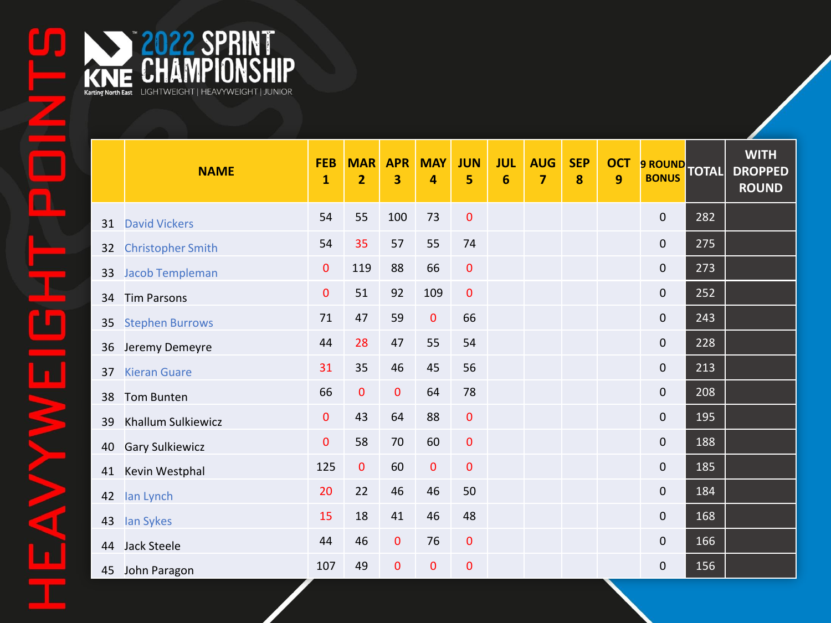KNE CHAMPIONSHIP

KNE CHAMPIONSHIP

|    | <b>NAME</b>               | <b>FEB</b><br>$\mathbf{1}$ | <b>MAR</b><br>$\overline{2}$ | <b>APR</b><br>3 | <b>MAY</b><br>4 | <b>JUN</b><br>5 | <b>JUL</b><br>6 | <b>AUG</b><br>7 | <b>SEP</b><br>8 | <b>OCT</b><br>$\overline{9}$ | 9 ROUND TOTAL       |     | <b>WITH</b><br><b>DROPPED</b><br><b>ROUND</b> |
|----|---------------------------|----------------------------|------------------------------|-----------------|-----------------|-----------------|-----------------|-----------------|-----------------|------------------------------|---------------------|-----|-----------------------------------------------|
| 31 | <b>David Vickers</b>      | 54                         | 55                           | 100             | 73              | $\pmb{0}$       |                 |                 |                 |                              | $\mathbf 0$         | 282 |                                               |
| 32 | <b>Christopher Smith</b>  | 54                         | 35                           | 57              | 55              | 74              |                 |                 |                 |                              | $\mathbf 0$         | 275 |                                               |
| 33 | <b>Jacob Templeman</b>    | $\mathbf 0$                | 119                          | 88              | 66              | $\pmb{0}$       |                 |                 |                 |                              | $\pmb{0}$           | 273 |                                               |
| 34 | <b>Tim Parsons</b>        | $\pmb{0}$                  | 51                           | 92              | 109             | $\pmb{0}$       |                 |                 |                 |                              | $\mathsf{O}\xspace$ | 252 |                                               |
| 35 | <b>Stephen Burrows</b>    | 71                         | 47                           | 59              | $\pmb{0}$       | 66              |                 |                 |                 |                              | $\mathsf{O}\xspace$ | 243 |                                               |
| 36 | Jeremy Demeyre            | 44                         | 28                           | 47              | 55              | 54              |                 |                 |                 |                              | $\mathsf{O}\xspace$ | 228 |                                               |
| 37 | <b>Kieran Guare</b>       | 31                         | 35                           | 46              | 45              | 56              |                 |                 |                 |                              | $\pmb{0}$           | 213 |                                               |
| 38 | <b>Tom Bunten</b>         | 66                         | 0                            | $\mathbf{0}$    | 64              | 78              |                 |                 |                 |                              | $\mathbf 0$         | 208 |                                               |
| 39 | <b>Khallum Sulkiewicz</b> | $\mathbf 0$                | 43                           | 64              | 88              | $\pmb{0}$       |                 |                 |                 |                              | $\mathsf{O}\xspace$ | 195 |                                               |
| 40 | <b>Gary Sulkiewicz</b>    | $\mathbf 0$                | 58                           | 70              | 60              | $\mathbf 0$     |                 |                 |                 |                              | $\mathbf 0$         | 188 |                                               |
| 41 | Kevin Westphal            | 125                        | 0                            | 60              | $\bf{0}$        | $\pmb{0}$       |                 |                 |                 |                              | $\mathsf{O}\xspace$ | 185 |                                               |
| 42 | lan Lynch                 | 20                         | 22                           | 46              | 46              | 50              |                 |                 |                 |                              | $\mathbf 0$         | 184 |                                               |
| 43 | lan Sykes                 | 15                         | 18                           | 41              | 46              | 48              |                 |                 |                 |                              | $\mathsf{O}\xspace$ | 168 |                                               |
| 44 | Jack Steele               | 44                         | 46                           | $\mathbf{0}$    | 76              | $\mathbf 0$     |                 |                 |                 |                              | $\mathsf{O}\xspace$ | 166 |                                               |
| 45 | John Paragon              | 107                        | 49                           | $\mathbf{0}$    | $\mathbf 0$     | $\mathbf 0$     |                 |                 |                 |                              | $\mathbf 0$         | 156 |                                               |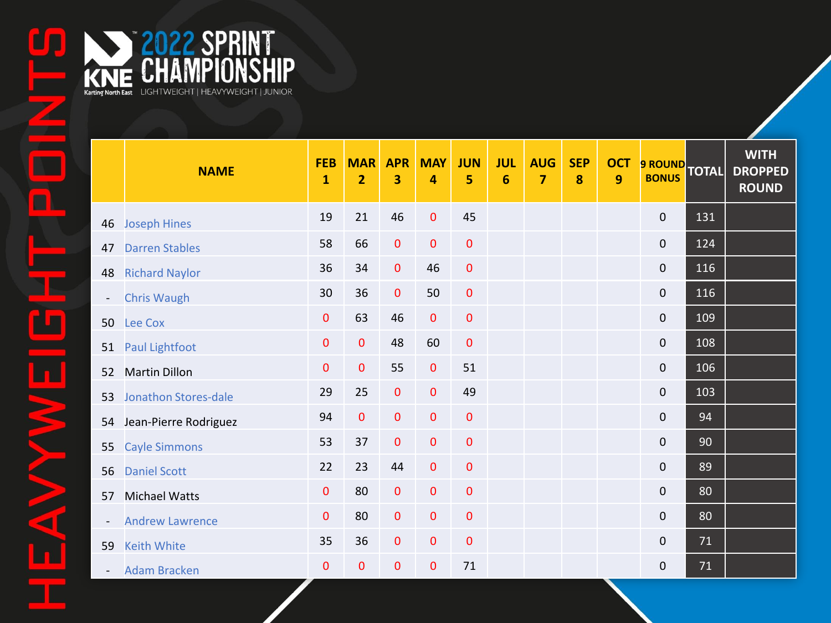|    | <b>NAME</b>              | <b>FEB</b><br>$\mathbf{1}$ | <b>MAR</b><br>$\overline{2}$ | <b>APR</b><br>3 | <b>MAY</b><br>4 | <b>JUN</b><br>5 | <b>JUL</b><br>$6\phantom{1}6$ | <b>AUG</b><br>$\overline{7}$ | <b>SEP</b><br>8 | <b>OCT</b><br>$\mathbf{9}$ | 9 ROUND TOTAL       |        | <b>WITH</b><br><b>DROPPED</b><br><b>ROUND</b> |
|----|--------------------------|----------------------------|------------------------------|-----------------|-----------------|-----------------|-------------------------------|------------------------------|-----------------|----------------------------|---------------------|--------|-----------------------------------------------|
|    | 46 Joseph Hines          | 19                         | 21                           | 46              | $\pmb{0}$       | 45              |                               |                              |                 |                            | $\pmb{0}$           | 131    |                                               |
| 47 | <b>Darren Stables</b>    | 58                         | 66                           | $\mathbf{0}$    | $\mathbf{0}$    | $\mathbf 0$     |                               |                              |                 |                            | $\mathbf 0$         | 124    |                                               |
| 48 | <b>Richard Naylor</b>    | 36                         | 34                           | $\mathbf{0}$    | 46              | $\mathbf 0$     |                               |                              |                 |                            | $\mathbf 0$         | 116    |                                               |
|    | <b>Chris Waugh</b>       | 30                         | 36                           | $\mathbf 0$     | 50              | $\mathbf{0}$    |                               |                              |                 |                            | $\mathsf{O}\xspace$ | 116    |                                               |
| 50 | Lee Cox                  | $\mathbf 0$                | 63                           | 46              | $\mathbf{0}$    | $\mathbf 0$     |                               |                              |                 |                            | $\mathsf{O}\xspace$ | 109    |                                               |
| 51 | Paul Lightfoot           | $\mathbf 0$                | $\mathbf{0}$                 | 48              | 60              | $\mathbf{0}$    |                               |                              |                 |                            | $\mathbf 0$         | 108    |                                               |
| 52 | <b>Martin Dillon</b>     | $\pmb{0}$                  | $\mathbf{0}$                 | 55              | $\mathbf{0}$    | 51              |                               |                              |                 |                            | $\mathbf 0$         | 106    |                                               |
| 53 | Jonathon Stores-dale     | 29                         | 25                           | $\mathbf{0}$    | $\mathbf{0}$    | 49              |                               |                              |                 |                            | $\mathbf 0$         | 103    |                                               |
|    | 54 Jean-Pierre Rodriguez | 94                         | $\mathbf 0$                  | $\mathbf 0$     | $\mathbf 0$     | $\mathbf 0$     |                               |                              |                 |                            | $\mathbf 0$         | 94     |                                               |
| 55 | <b>Cayle Simmons</b>     | 53                         | 37                           | $\mathbf{0}$    | $\mathbf{0}$    | $\mathbf 0$     |                               |                              |                 |                            | $\mathsf{O}\xspace$ | 90     |                                               |
| 56 | <b>Daniel Scott</b>      | 22                         | 23                           | 44              | $\mathbf 0$     | $\mathbf 0$     |                               |                              |                 |                            | $\mathbf 0$         | 89     |                                               |
| 57 | Michael Watts            | $\mathbf 0$                | 80                           | $\pmb{0}$       | $\pmb{0}$       | $\mathbf 0$     |                               |                              |                 |                            | $\mathbf 0$         | 80     |                                               |
|    | <b>Andrew Lawrence</b>   | $\mathbf 0$                | 80                           | $\mathbf{0}$    | $\mathbf 0$     | $\mathbf 0$     |                               |                              |                 |                            | $\mathsf{O}\xspace$ | 80     |                                               |
| 59 | <b>Keith White</b>       | 35                         | 36                           | $\pmb{0}$       | $\mathbf 0$     | $\pmb{0}$       |                               |                              |                 |                            | $\mathbf 0$         | $71\,$ |                                               |
|    | - Adam Bracken           | 0                          | 0                            | $\mathbf 0$     | 0               | 71              |                               |                              |                 |                            | 0                   | 71     |                                               |

KNE CHAMPIONSHIP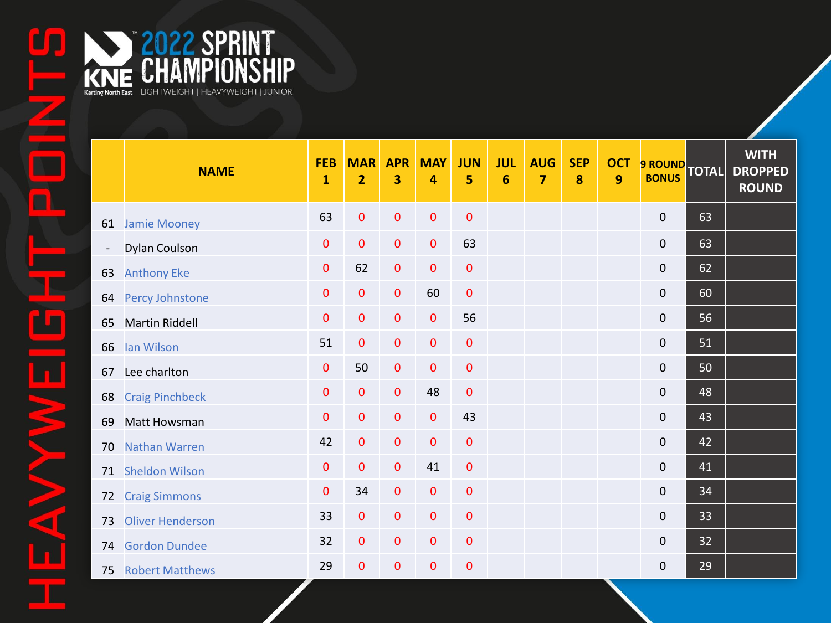|                          | <b>NAME</b>             | <b>FEB</b><br>$\mathbf{1}$ | <b>MAR</b><br>$\overline{2}$ | <b>APR</b><br>3 | <b>MAY</b><br>4 | <b>JUN</b><br>5 | <b>JUL</b><br>$6\phantom{1}6$ | <b>AUG</b><br>$\overline{7}$ | <b>SEP</b><br>8 | <b>OCT</b><br>$\boldsymbol{9}$ | 9 ROUND TOTAL    |    | <b>WITH</b><br><b>DROPPED</b><br><b>ROUND</b> |
|--------------------------|-------------------------|----------------------------|------------------------------|-----------------|-----------------|-----------------|-------------------------------|------------------------------|-----------------|--------------------------------|------------------|----|-----------------------------------------------|
|                          | 61 Jamie Mooney         | 63                         | $\bf{0}$                     | $\mathbf 0$     | $\pmb{0}$       | $\mathbf 0$     |                               |                              |                 |                                | $\pmb{0}$        | 63 |                                               |
| $\overline{\phantom{a}}$ | Dylan Coulson           | $\mathbf{0}$               | $\mathbf 0$                  | $\pmb{0}$       | $\mathbf 0$     | 63              |                               |                              |                 |                                | $\mathbf 0$      | 63 |                                               |
| 63                       | <b>Anthony Eke</b>      | 0                          | 62                           | $\bf{0}$        | $\mathbf{0}$    | $\mathbf 0$     |                               |                              |                 |                                | $\pmb{0}$        | 62 |                                               |
| 64                       | Percy Johnstone         | $\mathbf 0$                | $\mathbf{0}$                 | $\pmb{0}$       | 60              | $\mathbf 0$     |                               |                              |                 |                                | $\mathbf 0$      | 60 |                                               |
| 65                       | <b>Martin Riddell</b>   | $\mathbf 0$                | $\bf{0}$                     | $\pmb{0}$       | $\mathbf 0$     | 56              |                               |                              |                 |                                | $\boldsymbol{0}$ | 56 |                                               |
| 66                       | lan Wilson              | 51                         | $\mathbf{0}$                 | $\pmb{0}$       | $\mathbf 0$     | $\mathbf 0$     |                               |                              |                 |                                | $\mathbf 0$      | 51 |                                               |
| 67                       | Lee charlton            | 0                          | 50                           | $\pmb{0}$       | $\pmb{0}$       | $\pmb{0}$       |                               |                              |                 |                                | $\boldsymbol{0}$ | 50 |                                               |
| 68                       | <b>Craig Pinchbeck</b>  | $\mathbf 0$                | 0                            | $\pmb{0}$       | 48              | $\mathbf 0$     |                               |                              |                 |                                | $\mathbf 0$      | 48 |                                               |
| 69                       | Matt Howsman            | $\mathbf 0$                | 0                            | $\mathbf 0$     | $\mathbf 0$     | 43              |                               |                              |                 |                                | $\pmb{0}$        | 43 |                                               |
| 70                       | <b>Nathan Warren</b>    | 42                         | 0                            | $\mathbf 0$     | $\mathbf{0}$    | $\mathbf 0$     |                               |                              |                 |                                | $\mathbf 0$      | 42 |                                               |
|                          | 71 Sheldon Wilson       | $\mathbf 0$                | $\mathbf{0}$                 | $\pmb{0}$       | 41              | $\mathbf 0$     |                               |                              |                 |                                | $\mathbf 0$      | 41 |                                               |
| 72                       | <b>Craig Simmons</b>    | $\mathbf{0}$               | 34                           | $\pmb{0}$       | $\mathbf 0$     | $\mathbf 0$     |                               |                              |                 |                                | $\mathbf 0$      | 34 |                                               |
| 73                       | <b>Oliver Henderson</b> | 33                         | $\pmb{0}$                    | $\pmb{0}$       | $\pmb{0}$       | $\mathbf{0}$    |                               |                              |                 |                                | $\mathbf 0$      | 33 |                                               |
| 74                       | <b>Gordon Dundee</b>    | 32                         | 0                            | $\pmb{0}$       | $\pmb{0}$       | $\pmb{0}$       |                               |                              |                 |                                | $\mathbf 0$      | 32 |                                               |
|                          | 75 Robert Matthews      | 29                         | $\bf{0}$                     | $\mathbf 0$     | $\mathbf 0$     | $\pmb{0}$       |                               |                              |                 |                                | $\mathbf 0$      | 29 |                                               |

KNE CHAMPIONSHIP